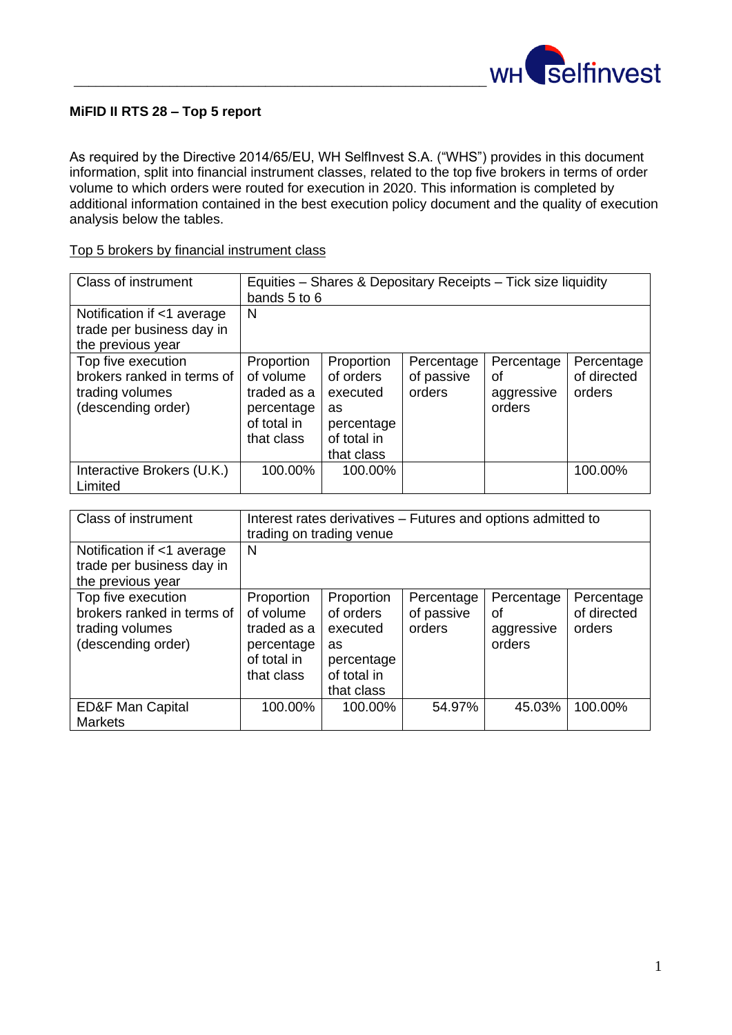

## **MiFID II RTS 28 – Top 5 report**

As required by the Directive 2014/65/EU, WH SelfInvest S.A. ("WHS") provides in this document information, split into financial instrument classes, related to the top five brokers in terms of order volume to which orders were routed for execution in 2020. This information is completed by additional information contained in the best execution policy document and the quality of execution analysis below the tables.

| Class of instrument                                                                       | Equities - Shares & Depositary Receipts - Tick size liquidity<br>bands 5 to 6     |                                                                                      |                                    |                                          |                                     |
|-------------------------------------------------------------------------------------------|-----------------------------------------------------------------------------------|--------------------------------------------------------------------------------------|------------------------------------|------------------------------------------|-------------------------------------|
| Notification if <1 average<br>trade per business day in<br>the previous year              | N                                                                                 |                                                                                      |                                    |                                          |                                     |
| Top five execution<br>brokers ranked in terms of<br>trading volumes<br>(descending order) | Proportion<br>of volume<br>traded as a<br>percentage<br>of total in<br>that class | Proportion<br>of orders<br>executed<br>as<br>percentage<br>of total in<br>that class | Percentage<br>of passive<br>orders | Percentage<br>οf<br>aggressive<br>orders | Percentage<br>of directed<br>orders |
| Interactive Brokers (U.K.)<br>Limited                                                     | 100.00%                                                                           | 100.00%                                                                              |                                    |                                          | 100.00%                             |

Top 5 brokers by financial instrument class

| <b>Class of instrument</b>                                                                | Interest rates derivatives - Futures and options admitted to<br>trading on trading venue |                                                                                      |                                    |                                          |                                     |
|-------------------------------------------------------------------------------------------|------------------------------------------------------------------------------------------|--------------------------------------------------------------------------------------|------------------------------------|------------------------------------------|-------------------------------------|
| Notification if <1 average<br>trade per business day in<br>the previous year              | N                                                                                        |                                                                                      |                                    |                                          |                                     |
| Top five execution<br>brokers ranked in terms of<br>trading volumes<br>(descending order) | Proportion<br>of volume<br>traded as a<br>percentage<br>of total in<br>that class        | Proportion<br>of orders<br>executed<br>as<br>percentage<br>of total in<br>that class | Percentage<br>of passive<br>orders | Percentage<br>οf<br>aggressive<br>orders | Percentage<br>of directed<br>orders |
| <b>ED&amp;F Man Capital</b><br><b>Markets</b>                                             | 100.00%                                                                                  | 100.00%                                                                              | 54.97%                             | 45.03%                                   | 100.00%                             |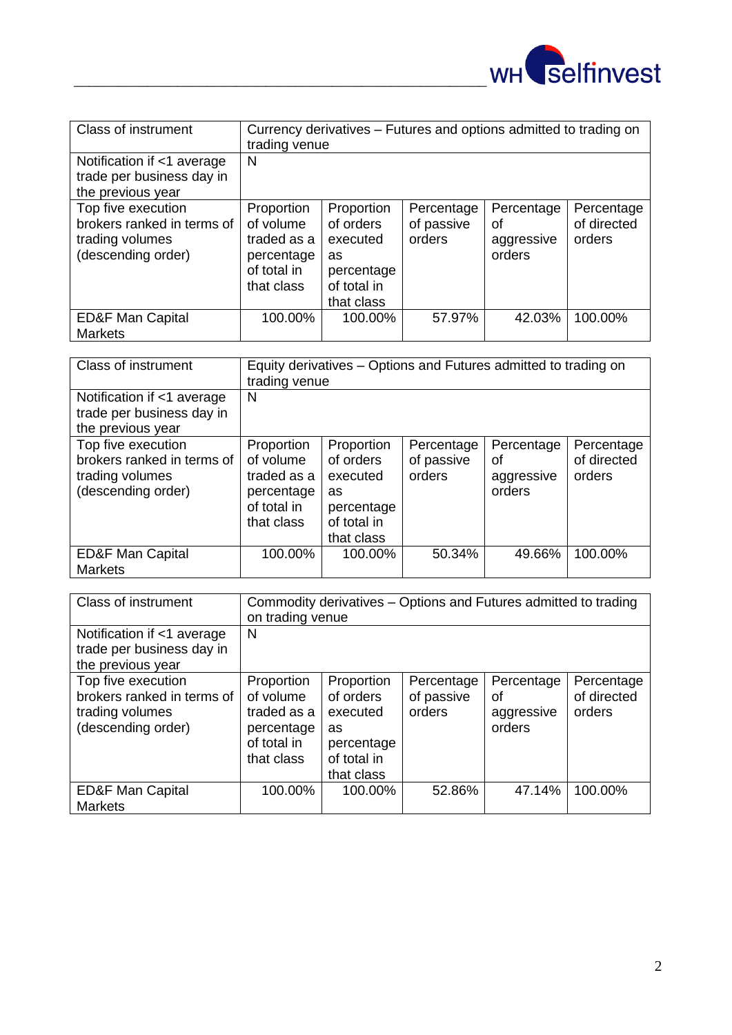

| <b>Class of instrument</b>                                                                | Currency derivatives - Futures and options admitted to trading on<br>trading venue |                                                                                      |                                    |                                          |                                     |
|-------------------------------------------------------------------------------------------|------------------------------------------------------------------------------------|--------------------------------------------------------------------------------------|------------------------------------|------------------------------------------|-------------------------------------|
| Notification if <1 average<br>trade per business day in<br>the previous year              | N                                                                                  |                                                                                      |                                    |                                          |                                     |
| Top five execution<br>brokers ranked in terms of<br>trading volumes<br>(descending order) | Proportion<br>of volume<br>traded as a<br>percentage<br>of total in<br>that class  | Proportion<br>of orders<br>executed<br>as<br>percentage<br>of total in<br>that class | Percentage<br>of passive<br>orders | Percentage<br>οf<br>aggressive<br>orders | Percentage<br>of directed<br>orders |
| <b>ED&amp;F Man Capital</b><br><b>Markets</b>                                             | 100.00%                                                                            | 100.00%                                                                              | 57.97%                             | 42.03%                                   | 100.00%                             |

| <b>Class of instrument</b>                                                                | Equity derivatives – Options and Futures admitted to trading on<br>trading venue  |                                                                                      |                                    |                                          |                                     |
|-------------------------------------------------------------------------------------------|-----------------------------------------------------------------------------------|--------------------------------------------------------------------------------------|------------------------------------|------------------------------------------|-------------------------------------|
| Notification if <1 average<br>trade per business day in<br>the previous year              | N                                                                                 |                                                                                      |                                    |                                          |                                     |
| Top five execution<br>brokers ranked in terms of<br>trading volumes<br>(descending order) | Proportion<br>of volume<br>traded as a<br>percentage<br>of total in<br>that class | Proportion<br>of orders<br>executed<br>as<br>percentage<br>of total in<br>that class | Percentage<br>of passive<br>orders | Percentage<br>οf<br>aggressive<br>orders | Percentage<br>of directed<br>orders |
| <b>ED&amp;F Man Capital</b><br><b>Markets</b>                                             | 100.00%                                                                           | 100.00%                                                                              | 50.34%                             | 49.66%                                   | 100.00%                             |

| <b>Class of instrument</b>                                                                | Commodity derivatives – Options and Futures admitted to trading<br>on trading venue |                                                                                      |                                    |                                          |                                     |
|-------------------------------------------------------------------------------------------|-------------------------------------------------------------------------------------|--------------------------------------------------------------------------------------|------------------------------------|------------------------------------------|-------------------------------------|
| Notification if <1 average<br>trade per business day in<br>the previous year              | N                                                                                   |                                                                                      |                                    |                                          |                                     |
| Top five execution<br>brokers ranked in terms of<br>trading volumes<br>(descending order) | Proportion<br>of volume<br>traded as a<br>percentage<br>of total in<br>that class   | Proportion<br>of orders<br>executed<br>as<br>percentage<br>of total in<br>that class | Percentage<br>of passive<br>orders | Percentage<br>οf<br>aggressive<br>orders | Percentage<br>of directed<br>orders |
| <b>ED&amp;F Man Capital</b><br><b>Markets</b>                                             | 100.00%                                                                             | 100.00%                                                                              | 52.86%                             | 47.14%                                   | 100.00%                             |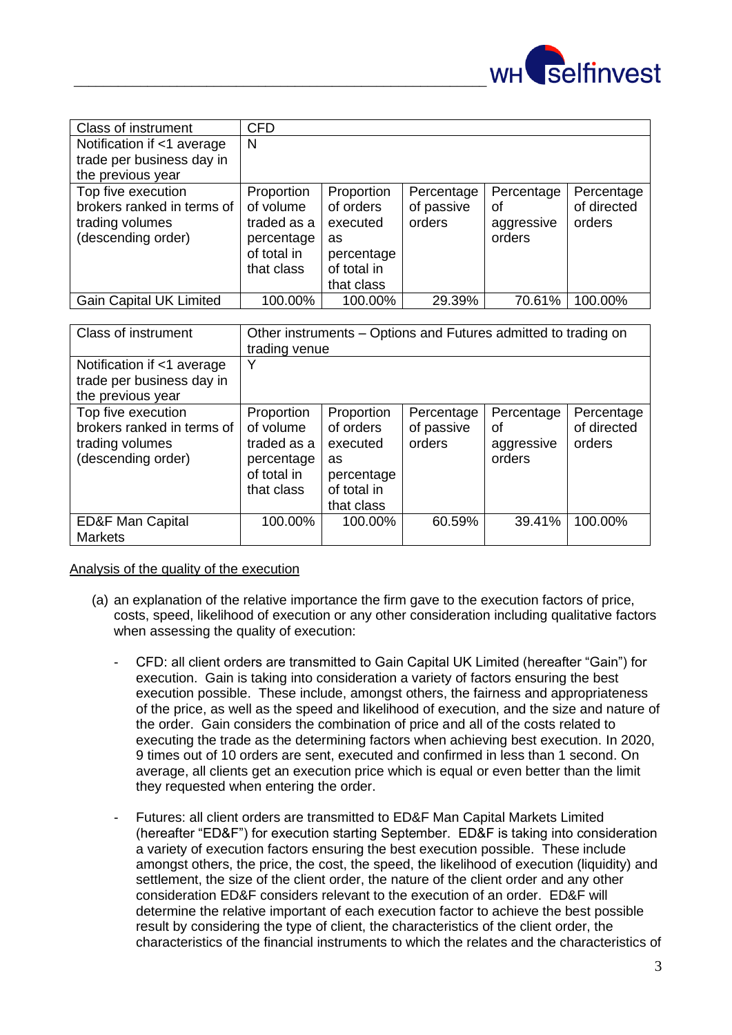

| <b>Class of instrument</b>     | <b>CFD</b>  |             |            |            |             |
|--------------------------------|-------------|-------------|------------|------------|-------------|
| Notification if <1 average     | N           |             |            |            |             |
| trade per business day in      |             |             |            |            |             |
| the previous year              |             |             |            |            |             |
| Top five execution             | Proportion  | Proportion  | Percentage | Percentage | Percentage  |
| brokers ranked in terms of     | of volume   | of orders   | of passive | οf         | of directed |
| trading volumes                | traded as a | executed    | orders     | aggressive | orders      |
| (descending order)             | percentage  | as          |            | orders     |             |
|                                | of total in | percentage  |            |            |             |
|                                | that class  | of total in |            |            |             |
|                                |             | that class  |            |            |             |
| <b>Gain Capital UK Limited</b> | 100.00%     | 100.00%     | 29.39%     | 70.61%     | 100.00%     |

| <b>Class of instrument</b>                                                                | Other instruments – Options and Futures admitted to trading on<br>trading venue   |                                                                                      |                                    |                                          |                                     |
|-------------------------------------------------------------------------------------------|-----------------------------------------------------------------------------------|--------------------------------------------------------------------------------------|------------------------------------|------------------------------------------|-------------------------------------|
| Notification if <1 average<br>trade per business day in<br>the previous year              | Y                                                                                 |                                                                                      |                                    |                                          |                                     |
| Top five execution<br>brokers ranked in terms of<br>trading volumes<br>(descending order) | Proportion<br>of volume<br>traded as a<br>percentage<br>of total in<br>that class | Proportion<br>of orders<br>executed<br>as<br>percentage<br>of total in<br>that class | Percentage<br>of passive<br>orders | Percentage<br>οf<br>aggressive<br>orders | Percentage<br>of directed<br>orders |
| <b>ED&amp;F Man Capital</b><br><b>Markets</b>                                             | 100.00%                                                                           | 100.00%                                                                              | 60.59%                             | 39.41%                                   | 100.00%                             |

Analysis of the quality of the execution

- (a) an explanation of the relative importance the firm gave to the execution factors of price, costs, speed, likelihood of execution or any other consideration including qualitative factors when assessing the quality of execution:
	- CFD: all client orders are transmitted to Gain Capital UK Limited (hereafter "Gain") for execution. Gain is taking into consideration a variety of factors ensuring the best execution possible. These include, amongst others, the fairness and appropriateness of the price, as well as the speed and likelihood of execution, and the size and nature of the order. Gain considers the combination of price and all of the costs related to executing the trade as the determining factors when achieving best execution. In 2020, 9 times out of 10 orders are sent, executed and confirmed in less than 1 second. On average, all clients get an execution price which is equal or even better than the limit they requested when entering the order.
	- Futures: all client orders are transmitted to ED&F Man Capital Markets Limited (hereafter "ED&F") for execution starting September. ED&F is taking into consideration a variety of execution factors ensuring the best execution possible. These include amongst others, the price, the cost, the speed, the likelihood of execution (liquidity) and settlement, the size of the client order, the nature of the client order and any other consideration ED&F considers relevant to the execution of an order. ED&F will determine the relative important of each execution factor to achieve the best possible result by considering the type of client, the characteristics of the client order, the characteristics of the financial instruments to which the relates and the characteristics of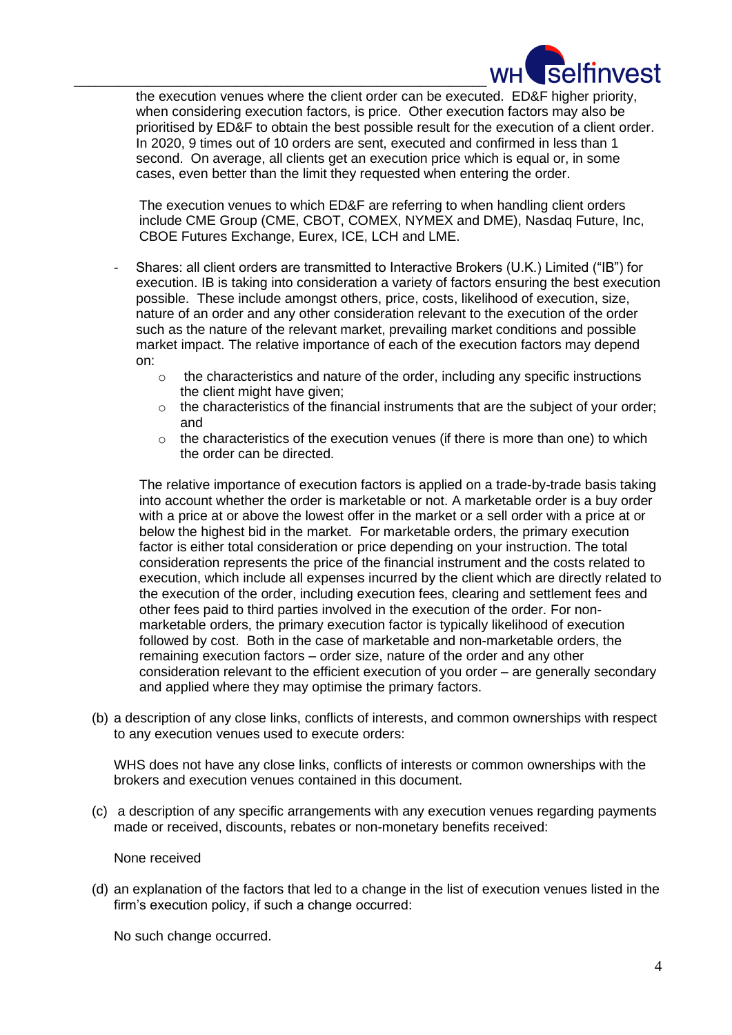

\_\_\_\_\_\_\_\_\_\_\_\_\_\_\_\_\_\_\_\_\_\_\_\_\_\_\_\_\_\_\_\_\_\_\_\_\_\_\_\_\_\_\_\_\_\_\_\_\_\_\_\_\_\_\_\_ the execution venues where the client order can be executed. ED&F higher priority, when considering execution factors, is price. Other execution factors may also be prioritised by ED&F to obtain the best possible result for the execution of a client order. In 2020, 9 times out of 10 orders are sent, executed and confirmed in less than 1 second. On average, all clients get an execution price which is equal or, in some cases, even better than the limit they requested when entering the order.

> The execution venues to which ED&F are referring to when handling client orders include CME Group (CME, CBOT, COMEX, NYMEX and DME), Nasdaq Future, Inc, CBOE Futures Exchange, Eurex, ICE, LCH and LME.

- Shares: all client orders are transmitted to Interactive Brokers (U.K.) Limited ("IB") for execution. IB is taking into consideration a variety of factors ensuring the best execution possible. These include amongst others, price, costs, likelihood of execution, size, nature of an order and any other consideration relevant to the execution of the order such as the nature of the relevant market, prevailing market conditions and possible market impact. The relative importance of each of the execution factors may depend on:
	- $\circ$  the characteristics and nature of the order, including any specific instructions the client might have given;
	- $\circ$  the characteristics of the financial instruments that are the subject of your order; and
	- $\circ$  the characteristics of the execution venues (if there is more than one) to which the order can be directed.

The relative importance of execution factors is applied on a trade-by-trade basis taking into account whether the order is marketable or not. A marketable order is a buy order with a price at or above the lowest offer in the market or a sell order with a price at or below the highest bid in the market. For marketable orders, the primary execution factor is either total consideration or price depending on your instruction. The total consideration represents the price of the financial instrument and the costs related to execution, which include all expenses incurred by the client which are directly related to the execution of the order, including execution fees, clearing and settlement fees and other fees paid to third parties involved in the execution of the order. For nonmarketable orders, the primary execution factor is typically likelihood of execution followed by cost. Both in the case of marketable and non-marketable orders, the remaining execution factors – order size, nature of the order and any other consideration relevant to the efficient execution of you order – are generally secondary and applied where they may optimise the primary factors.

(b) a description of any close links, conflicts of interests, and common ownerships with respect to any execution venues used to execute orders:

WHS does not have any close links, conflicts of interests or common ownerships with the brokers and execution venues contained in this document.

(c) a description of any specific arrangements with any execution venues regarding payments made or received, discounts, rebates or non-monetary benefits received:

None received

(d) an explanation of the factors that led to a change in the list of execution venues listed in the firm's execution policy, if such a change occurred:

No such change occurred.